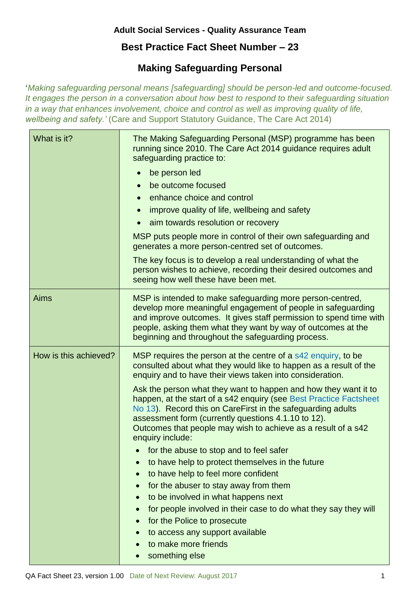## **Adult Social Services - Quality Assurance Team**

## **Best Practice Fact Sheet Number – 23**

## **Making Safeguarding Personal**

**'***Making safeguarding personal means [safeguarding] should be person-led and outcome-focused. It engages the person in a conversation about how best to respond to their safeguarding situation in a way that enhances involvement, choice and control as well as improving quality of life, wellbeing and safety.'* (Care and Support Statutory Guidance, The Care Act 2014)

| What is it?           | The Making Safeguarding Personal (MSP) programme has been<br>running since 2010. The Care Act 2014 guidance requires adult<br>safeguarding practice to:<br>be person led<br>be outcome focused<br>enhance choice and control<br>improve quality of life, wellbeing and safety<br>aim towards resolution or recovery<br>MSP puts people more in control of their own safeguarding and<br>generates a more person-centred set of outcomes.<br>The key focus is to develop a real understanding of what the<br>person wishes to achieve, recording their desired outcomes and<br>seeing how well these have been met.                                                                                                                                                                                                                                                                                                                                       |
|-----------------------|----------------------------------------------------------------------------------------------------------------------------------------------------------------------------------------------------------------------------------------------------------------------------------------------------------------------------------------------------------------------------------------------------------------------------------------------------------------------------------------------------------------------------------------------------------------------------------------------------------------------------------------------------------------------------------------------------------------------------------------------------------------------------------------------------------------------------------------------------------------------------------------------------------------------------------------------------------|
| <b>Aims</b>           | MSP is intended to make safeguarding more person-centred,<br>develop more meaningful engagement of people in safeguarding<br>and improve outcomes. It gives staff permission to spend time with<br>people, asking them what they want by way of outcomes at the<br>beginning and throughout the safeguarding process.                                                                                                                                                                                                                                                                                                                                                                                                                                                                                                                                                                                                                                    |
| How is this achieved? | MSP requires the person at the centre of a s42 enquiry, to be<br>consulted about what they would like to happen as a result of the<br>enquiry and to have their views taken into consideration.<br>Ask the person what they want to happen and how they want it to<br>happen, at the start of a s42 enquiry (see Best Practice Factsheet<br>No 13). Record this on CareFirst in the safeguarding adults<br>assessment form (currently questions 4.1.10 to 12).<br>Outcomes that people may wish to achieve as a result of a s42<br>enquiry include:<br>for the abuse to stop and to feel safer<br>to have help to protect themselves in the future<br>to have help to feel more confident<br>for the abuser to stay away from them<br>to be involved in what happens next<br>for people involved in their case to do what they say they will<br>for the Police to prosecute<br>to access any support available<br>to make more friends<br>something else |